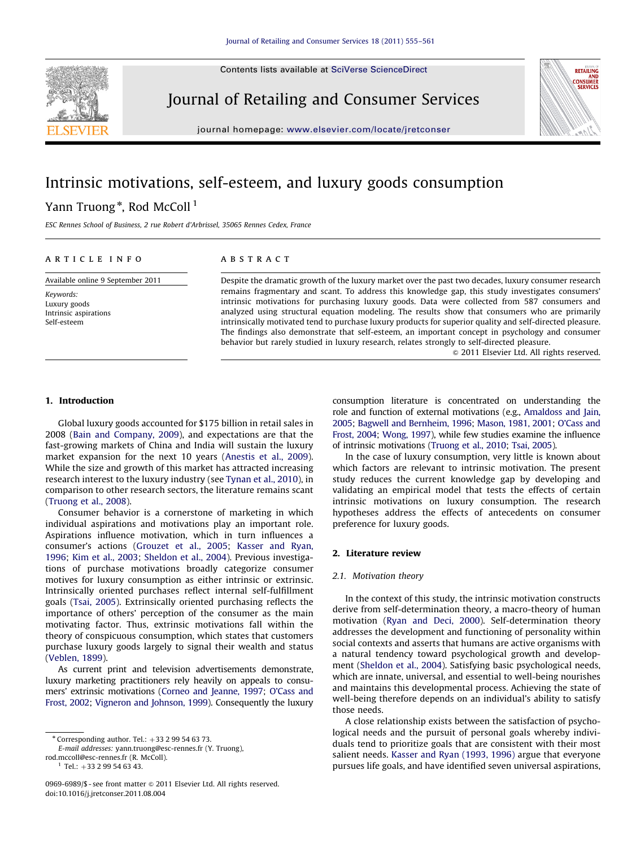Contents lists available at [SciVerse ScienceDirect](www.elsevier.com/locate/jretconser)



Journal of Retailing and Consumer Services



journal homepage: <www.elsevier.com/locate/jretconser>

## Intrinsic motivations, self-esteem, and luxury goods consumption

### Yann Truong $^\ast$ , Rod McColl  $^1$

ESC Rennes School of Business, 2 rue Robert d'Arbrissel, 35065 Rennes Cedex, France

#### article info

Available online 9 September 2011

Keywords: Luxury goods Intrinsic aspirations Self-esteem

#### **ABSTRACT**

Despite the dramatic growth of the luxury market over the past two decades, luxury consumer research remains fragmentary and scant. To address this knowledge gap, this study investigates consumers' intrinsic motivations for purchasing luxury goods. Data were collected from 587 consumers and analyzed using structural equation modeling. The results show that consumers who are primarily intrinsically motivated tend to purchase luxury products for superior quality and self-directed pleasure. The findings also demonstrate that self-esteem, an important concept in psychology and consumer behavior but rarely studied in luxury research, relates strongly to self-directed pleasure.

 $\odot$  2011 Elsevier Ltd. All rights reserved.

#### 1. Introduction

Global luxury goods accounted for \$175 billion in retail sales in 2008 [\(Bain and Company, 2009\)](#page--1-0), and expectations are that the fast-growing markets of China and India will sustain the luxury market expansion for the next 10 years [\(Anestis et al., 2009\)](#page--1-0). While the size and growth of this market has attracted increasing research interest to the luxury industry (see [Tynan et al., 2010](#page--1-0)), in comparison to other research sectors, the literature remains scant ([Truong et al., 2008](#page--1-0)).

Consumer behavior is a cornerstone of marketing in which individual aspirations and motivations play an important role. Aspirations influence motivation, which in turn influences a consumer's actions ([Grouzet et al., 2005](#page--1-0); [Kasser and Ryan,](#page--1-0) [1996;](#page--1-0) [Kim et al., 2003](#page--1-0); [Sheldon et al., 2004](#page--1-0)). Previous investigations of purchase motivations broadly categorize consumer motives for luxury consumption as either intrinsic or extrinsic. Intrinsically oriented purchases reflect internal self-fulfillment goals ([Tsai, 2005\)](#page--1-0). Extrinsically oriented purchasing reflects the importance of others' perception of the consumer as the main motivating factor. Thus, extrinsic motivations fall within the theory of conspicuous consumption, which states that customers purchase luxury goods largely to signal their wealth and status ([Veblen, 1899](#page--1-0)).

As current print and television advertisements demonstrate, luxury marketing practitioners rely heavily on appeals to consumers' extrinsic motivations [\(Corneo and Jeanne, 1997](#page--1-0); [O'Cass and](#page--1-0) [Frost, 2002;](#page--1-0) [Vigneron and Johnson, 1999\)](#page--1-0). Consequently the luxury

E-mail addresses: [yann.truong@esc-rennes.fr \(Y. Truong\),](mailto:yann.truong@esc-rennes.fr)

[rod.mccoll@esc-rennes.fr \(R. McColl\)](mailto:rod.mccoll@esc-rennes.fr).

 $1$  Tel.: +33 2 99 54 63 43.

consumption literature is concentrated on understanding the role and function of external motivations (e.g., [Amaldoss and Jain,](#page--1-0) [2005](#page--1-0); [Bagwell and Bernheim, 1996;](#page--1-0) [Mason, 1981, 2001](#page--1-0); [O'Cass and](#page--1-0) [Frost, 2004;](#page--1-0) [Wong, 1997\)](#page--1-0), while few studies examine the influence of intrinsic motivations [\(Truong et al., 2010](#page--1-0); [Tsai, 2005](#page--1-0)).

In the case of luxury consumption, very little is known about which factors are relevant to intrinsic motivation. The present study reduces the current knowledge gap by developing and validating an empirical model that tests the effects of certain intrinsic motivations on luxury consumption. The research hypotheses address the effects of antecedents on consumer preference for luxury goods.

#### 2. Literature review

#### 2.1. Motivation theory

In the context of this study, the intrinsic motivation constructs derive from self-determination theory, a macro-theory of human motivation [\(Ryan and Deci, 2000\)](#page--1-0). Self-determination theory addresses the development and functioning of personality within social contexts and asserts that humans are active organisms with a natural tendency toward psychological growth and development [\(Sheldon et al., 2004\)](#page--1-0). Satisfying basic psychological needs, which are innate, universal, and essential to well-being nourishes and maintains this developmental process. Achieving the state of well-being therefore depends on an individual's ability to satisfy those needs.

A close relationship exists between the satisfaction of psychological needs and the pursuit of personal goals whereby individuals tend to prioritize goals that are consistent with their most salient needs. [Kasser and Ryan \(1993, 1996\)](#page--1-0) argue that everyone pursues life goals, and have identified seven universal aspirations,

 $*$  Corresponding author. Tel.:  $+33$  2 99 54 63 73.

<sup>0969-6989/\$ -</sup> see front matter  $\odot$  2011 Elsevier Ltd. All rights reserved. doi:[10.1016/j.jretconser.2011.08.004](dx.doi.org/10.1016/j.jretconser.2011.08.004)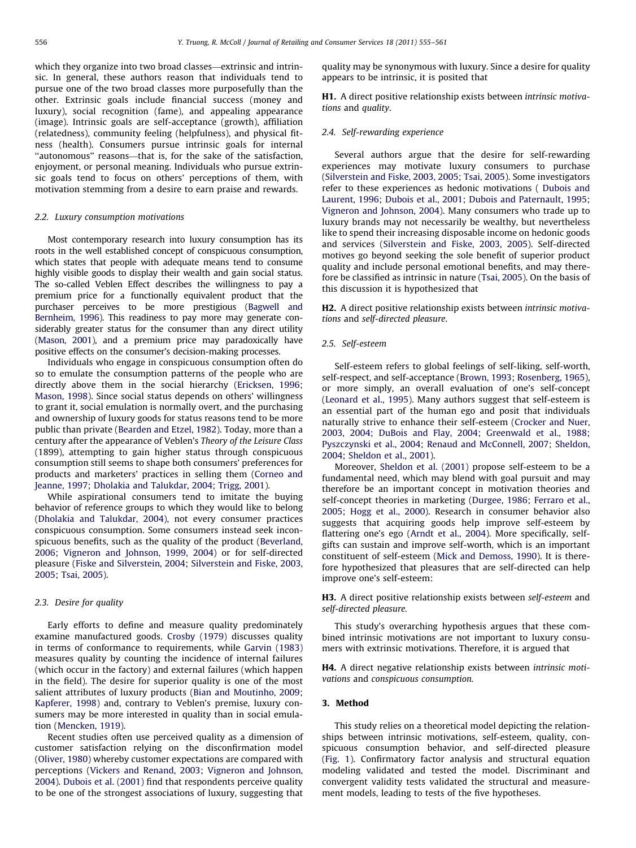which they organize into two broad classes—extrinsic and intrinsic. In general, these authors reason that individuals tend to pursue one of the two broad classes more purposefully than the other. Extrinsic goals include financial success (money and luxury), social recognition (fame), and appealing appearance (image). Intrinsic goals are self-acceptance (growth), affiliation (relatedness), community feeling (helpfulness), and physical fitness (health). Consumers pursue intrinsic goals for internal ''autonomous'' reasons—that is, for the sake of the satisfaction, enjoyment, or personal meaning. Individuals who pursue extrinsic goals tend to focus on others' perceptions of them, with motivation stemming from a desire to earn praise and rewards.

#### 2.2. Luxury consumption motivations

Most contemporary research into luxury consumption has its roots in the well established concept of conspicuous consumption, which states that people with adequate means tend to consume highly visible goods to display their wealth and gain social status. The so-called Veblen Effect describes the willingness to pay a premium price for a functionally equivalent product that the purchaser perceives to be more prestigious [\(Bagwell and](#page--1-0) [Bernheim, 1996\)](#page--1-0). This readiness to pay more may generate considerably greater status for the consumer than any direct utility ([Mason, 2001](#page--1-0)), and a premium price may paradoxically have positive effects on the consumer's decision-making processes.

Individuals who engage in conspicuous consumption often do so to emulate the consumption patterns of the people who are directly above them in the social hierarchy [\(Ericksen, 1996;](#page--1-0) [Mason, 1998](#page--1-0)). Since social status depends on others' willingness to grant it, social emulation is normally overt, and the purchasing and ownership of luxury goods for status reasons tend to be more public than private ([Bearden and Etzel, 1982\)](#page--1-0). Today, more than a century after the appearance of Veblen's Theory of the Leisure Class (1899), attempting to gain higher status through conspicuous consumption still seems to shape both consumers' preferences for products and marketers' practices in selling them ([Corneo and](#page--1-0) [Jeanne, 1997](#page--1-0); [Dholakia and Talukdar, 2004;](#page--1-0) [Trigg, 2001](#page--1-0)).

While aspirational consumers tend to imitate the buying behavior of reference groups to which they would like to belong ([Dholakia and Talukdar, 2004](#page--1-0)), not every consumer practices conspicuous consumption. Some consumers instead seek inconspicuous benefits, such as the quality of the product ([Beverland,](#page--1-0) [2006;](#page--1-0) [Vigneron and Johnson, 1999, 2004\)](#page--1-0) or for self-directed pleasure ([Fiske and Silverstein, 2004;](#page--1-0) [Silverstein and Fiske, 2003,](#page--1-0) [2005;](#page--1-0) [Tsai, 2005\)](#page--1-0).

#### 2.3. Desire for quality

Early efforts to define and measure quality predominately examine manufactured goods. [Crosby \(1979\)](#page--1-0) discusses quality in terms of conformance to requirements, while [Garvin \(1983\)](#page--1-0) measures quality by counting the incidence of internal failures (which occur in the factory) and external failures (which happen in the field). The desire for superior quality is one of the most salient attributes of luxury products [\(Bian and Moutinho, 2009;](#page--1-0) [Kapferer, 1998](#page--1-0)) and, contrary to Veblen's premise, luxury consumers may be more interested in quality than in social emulation ([Mencken, 1919\)](#page--1-0).

Recent studies often use perceived quality as a dimension of customer satisfaction relying on the disconfirmation model ([Oliver, 1980](#page--1-0)) whereby customer expectations are compared with perceptions [\(Vickers and Renand, 2003;](#page--1-0) [Vigneron and Johnson,](#page--1-0) [2004\)](#page--1-0). [Dubois et al. \(2001\)](#page--1-0) find that respondents perceive quality to be one of the strongest associations of luxury, suggesting that quality may be synonymous with luxury. Since a desire for quality appears to be intrinsic, it is posited that

H1. A direct positive relationship exists between intrinsic motivations and quality.

#### 2.4. Self-rewarding experience

Several authors argue that the desire for self-rewarding experiences may motivate luxury consumers to purchase ([Silverstein and Fiske, 2003, 2005](#page--1-0); [Tsai, 2005](#page--1-0)). Some investigators refer to these experiences as hedonic motivations ( [Dubois and](#page--1-0) [Laurent, 1996](#page--1-0); [Dubois et al., 2001;](#page--1-0) [Dubois and Paternault, 1995;](#page--1-0) [Vigneron and Johnson, 2004\)](#page--1-0). Many consumers who trade up to luxury brands may not necessarily be wealthy, but nevertheless like to spend their increasing disposable income on hedonic goods and services [\(Silverstein and Fiske, 2003, 2005](#page--1-0)). Self-directed motives go beyond seeking the sole benefit of superior product quality and include personal emotional benefits, and may therefore be classified as intrinsic in nature [\(Tsai, 2005](#page--1-0)). On the basis of this discussion it is hypothesized that

H2. A direct positive relationship exists between intrinsic motivations and self-directed pleasure.

#### 2.5. Self-esteem

Self-esteem refers to global feelings of self-liking, self-worth, self-respect, and self-acceptance ([Brown, 1993](#page--1-0); [Rosenberg, 1965\)](#page--1-0), or more simply, an overall evaluation of one's self-concept ([Leonard et al., 1995\)](#page--1-0). Many authors suggest that self-esteem is an essential part of the human ego and posit that individuals naturally strive to enhance their self-esteem [\(Crocker and Nuer,](#page--1-0) [2003, 2004;](#page--1-0) [DuBois and Flay, 2004;](#page--1-0) [Greenwald et al., 1988;](#page--1-0) [Pyszczynski et al., 2004;](#page--1-0) [Renaud and McConnell, 2007](#page--1-0); [Sheldon,](#page--1-0) [2004;](#page--1-0) [Sheldon et al., 2001\)](#page--1-0).

Moreover, [Sheldon et al. \(2001\)](#page--1-0) propose self-esteem to be a fundamental need, which may blend with goal pursuit and may therefore be an important concept in motivation theories and self-concept theories in marketing [\(Durgee, 1986](#page--1-0); [Ferraro et al.,](#page--1-0) [2005;](#page--1-0) [Hogg et al., 2000](#page--1-0)). Research in consumer behavior also suggests that acquiring goods help improve self-esteem by flattering one's ego ([Arndt et al., 2004](#page--1-0)). More specifically, selfgifts can sustain and improve self-worth, which is an important constituent of self-esteem [\(Mick and Demoss, 1990\)](#page--1-0). It is therefore hypothesized that pleasures that are self-directed can help improve one's self-esteem:

H3. A direct positive relationship exists between self-esteem and self-directed pleasure.

This study's overarching hypothesis argues that these combined intrinsic motivations are not important to luxury consumers with extrinsic motivations. Therefore, it is argued that

H4. A direct negative relationship exists between intrinsic motivations and conspicuous consumption.

#### 3. Method

This study relies on a theoretical model depicting the relationships between intrinsic motivations, self-esteem, quality, conspicuous consumption behavior, and self-directed pleasure ([Fig. 1\)](#page--1-0). Confirmatory factor analysis and structural equation modeling validated and tested the model. Discriminant and convergent validity tests validated the structural and measurement models, leading to tests of the five hypotheses.